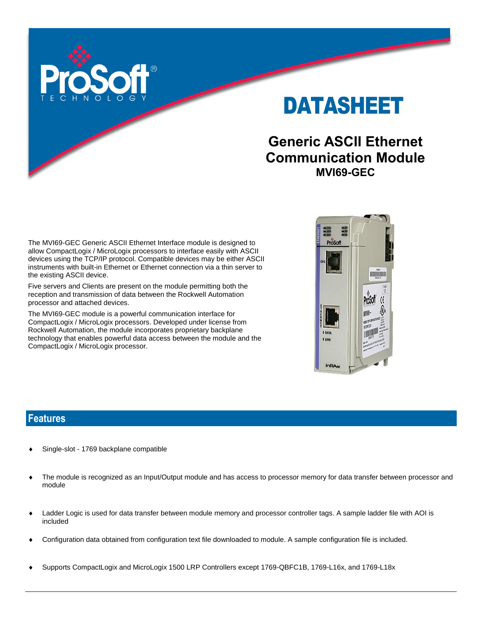

DATASHEET

# **Generic ASCII Ethernet Communication Module MVI69-GEC**

The MVI69-GEC Generic ASCII Ethernet Interface module is designed to allow CompactLogix / MicroLogix processors to interface easily with ASCII devices using the TCP/IP protocol. Compatible devices may be either ASCII instruments with built-in Ethernet or Ethernet connection via a thin server to the existing ASCII device.

Five servers and Clients are present on the module permitting both the reception and transmission of data between the Rockwell Automation processor and attached devices.

The MVI69-GEC module is a powerful communication interface for CompactLogix / MicroLogix processors. Developed under license from Rockwell Automation, the module incorporates proprietary backplane technology that enables powerful data access between the module and the CompactLogix / MicroLogix processor.



#### **Features**

- Single-slot 1769 backplane compatible
- The module is recognized as an Input/Output module and has access to processor memory for data transfer between processor and module
- Ladder Logic is used for data transfer between module memory and processor controller tags. A sample ladder file with AOI is included
- Configuration data obtained from configuration text file downloaded to module. A sample configuration file is included.
- Supports CompactLogix and MicroLogix 1500 LRP Controllers except 1769-QBFC1B, 1769-L16x, and 1769-L18x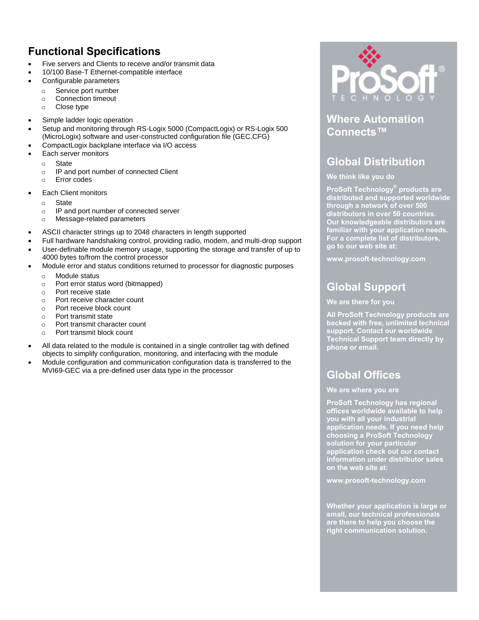## **Functional Specifications**

- Five servers and Clients to receive and/or transmit data
- 10/100 Base-T Ethernet-compatible interface
- Configurable parameters
	- o Service port number
	- o Connection timeout
	- o Close type
- Simple ladder logic operation
- Setup and monitoring through RS-Logix 5000 (CompactLogix) or RS-Logix 500 (MicroLogix) software and user-constructed configuration file (GEC.CFG)
- CompactLogix backplane interface via I/O access
- Each server monitors
	- o State
	- o IP and port number of connected Client
- o Error codes
- Each Client monitors
	- o State
	- o IP and port number of connected server
	- o Message-related parameters
- ASCII character strings up to 2048 characters in length supported
- Full hardware handshaking control, providing radio, modem, and multi-drop support
- User-definable module memory usage, supporting the storage and transfer of up to 4000 bytes to/from the control processor
- Module error and status conditions returned to processor for diagnostic purposes
	- o Module status
	- o Port error status word (bitmapped)
	- o Port receive state
	- o Port receive character count
	- o Port receive block count
	- o Port transmit state
	- o Port transmit character count
	- o Port transmit block count
- All data related to the module is contained in a single controller tag with defined objects to simplify configuration, monitoring, and interfacing with the module
- Module configuration and communication configuration data is transferred to the MVI69-GEC via a pre-defined user data type in the processor



### **Where Automation Connects™**

## **Global Distribution**

#### **We think like you do**

**ProSoft Technology® products are distributed and supported worldwide through a network of over 500 distributors in over 50 countries. Our knowledgeable distributors are familiar with your application needs. For a complete list of distributors, go to our web site at:**

**www.prosoft-technology.com**

## **Global Support**

#### **We are there for you**

**All ProSoft Technology products are backed with free, unlimited technical support. Contact our worldwide Technical Support team directly by phone or email.**

## **Global Offices**

#### **We are where you are**

**ProSoft Technology has regional offices worldwide available to help you with all your industrial application needs. If you need help choosing a ProSoft Technology solution for your particular application check out our contact information under distributor sales on the web site at:**

**www.prosoft-technology.com**

**Whether your application is large or small, our technical professionals are there to help you choose the right communication solution.**